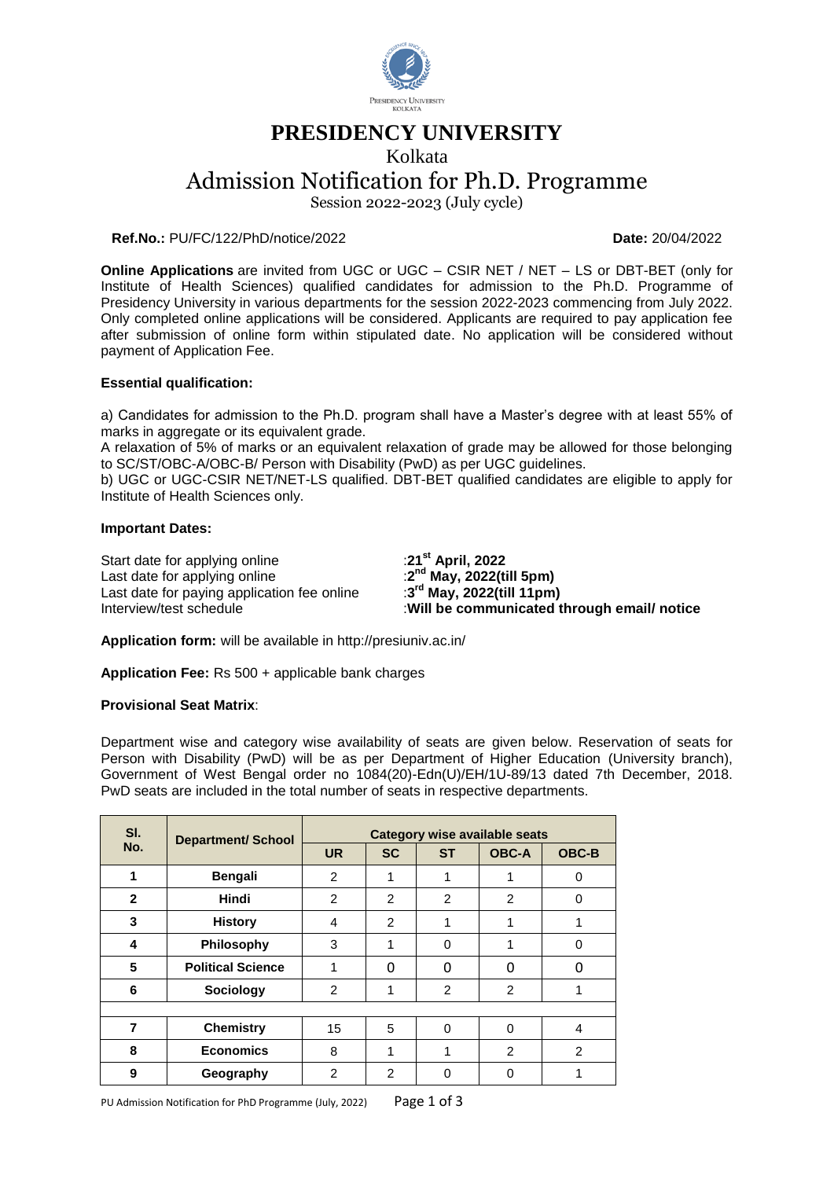

# **PRESIDENCY UNIVERSITY**

Kolkata

Admission Notification for Ph.D. Programme

Session 2022-2023 (July cycle)

**Ref.No.:** PU/FC/122/PhD/notice/2022 **Date:** 20/04/2022

**Online Applications** are invited from UGC or UGC – CSIR NET / NET – LS or DBT-BET (only for Institute of Health Sciences) qualified candidates for admission to the Ph.D. Programme of Presidency University in various departments for the session 2022-2023 commencing from July 2022. Only completed online applications will be considered. Applicants are required to pay application fee after submission of online form within stipulated date. No application will be considered without payment of Application Fee.

# **Essential qualification:**

a) Candidates for admission to the Ph.D. program shall have a Master's degree with at least 55% of marks in aggregate or its equivalent grade.

A relaxation of 5% of marks or an equivalent relaxation of grade may be allowed for those belonging to SC/ST/OBC-A/OBC-B/ Person with Disability (PwD) as per UGC guidelines.

b) UGC or UGC-CSIR NET/NET-LS qualified. DBT-BET qualified candidates are eligible to apply for Institute of Health Sciences only.

# **Important Dates:**

Start date for applying online :**21st April, 2022** Last date for applying online Last date for paying application fee online<br>Interview/test schedule

**nd May, 2022(till 5pm) rd May, 2022(till 11pm) Will be communicated through email/ notice** 

**Application form:** will be available in http://presiuniv.ac.in/

**Application Fee:** Rs 500 + applicable bank charges

#### **Provisional Seat Matrix**:

Department wise and category wise availability of seats are given below. Reservation of seats for Person with Disability (PwD) will be as per Department of Higher Education (University branch), Government of West Bengal order no 1084(20)-Edn(U)/EH/1U-89/13 dated 7th December, 2018. PwD seats are included in the total number of seats in respective departments.

| SI.<br>No.   | <b>Department/ School</b> | Category wise available seats |                |                |                |              |  |  |  |
|--------------|---------------------------|-------------------------------|----------------|----------------|----------------|--------------|--|--|--|
|              |                           | <b>UR</b>                     | <b>SC</b>      | <b>ST</b>      | <b>OBC-A</b>   | <b>OBC-B</b> |  |  |  |
| 1            | <b>Bengali</b>            | $\mathcal{P}$                 | 1              | 1              |                | 0            |  |  |  |
| $\mathbf{2}$ | Hindi                     | 2                             | 2              | $\overline{2}$ | $\overline{2}$ | 0            |  |  |  |
| 3            | <b>History</b>            | 4                             | $\overline{2}$ | 1              |                |              |  |  |  |
| 4            | <b>Philosophy</b>         | 3                             | 1              | 0              |                | $\Omega$     |  |  |  |
| 5            | <b>Political Science</b>  | 1                             | 0              | 0              | ŋ              | O            |  |  |  |
| 6            | Sociology                 | 2                             | 1              | $\overline{2}$ | $\mathfrak{p}$ |              |  |  |  |
|              |                           |                               |                |                |                |              |  |  |  |
| 7            | <b>Chemistry</b>          | 15                            | 5              | 0              | 0              | 4            |  |  |  |
| 8            | <b>Economics</b>          | 8                             | 1              | 1              | 2              | 2            |  |  |  |
| 9            | Geography                 | $\overline{2}$                | 2              | 0              | n              |              |  |  |  |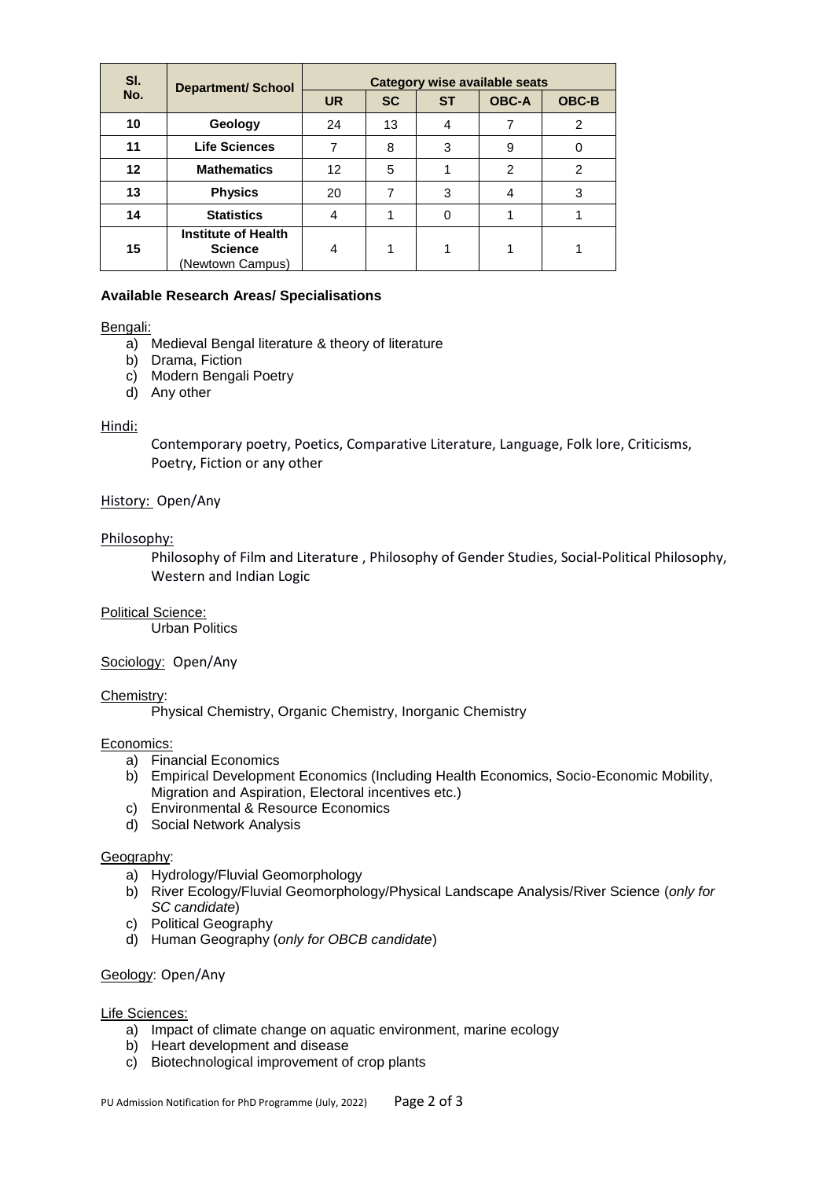| SI. | <b>Department/ School</b>                                        | Category wise available seats |           |           |                |              |  |
|-----|------------------------------------------------------------------|-------------------------------|-----------|-----------|----------------|--------------|--|
| No. |                                                                  | <b>UR</b>                     | <b>SC</b> | <b>ST</b> | <b>OBC-A</b>   | <b>OBC-B</b> |  |
| 10  | Geology                                                          | 24                            | 13        | 4         |                | 2            |  |
| 11  | <b>Life Sciences</b>                                             |                               | 8         | 3         | 9              | 0            |  |
| 12  | <b>Mathematics</b>                                               | 12                            | 5         |           | $\mathfrak{p}$ | 2            |  |
| 13  | <b>Physics</b>                                                   | 20                            | 7         | 3         | 4              | 3            |  |
| 14  | <b>Statistics</b>                                                | 4                             |           | 0         |                |              |  |
| 15  | <b>Institute of Health</b><br><b>Science</b><br>(Newtown Campus) | 4                             |           |           |                |              |  |

# **Available Research Areas/ Specialisations**

#### Bengali:

- a) Medieval Bengal literature & theory of literature
- b) Drama, Fiction
- c) Modern Bengali Poetry
- d) Any other

#### Hindi:

Contemporary poetry, Poetics, Comparative Literature, Language, Folk lore, Criticisms, Poetry, Fiction or any other

# History: Open/Any

# Philosophy:

Philosophy of Film and Literature , Philosophy of Gender Studies, Social-Political Philosophy, Western and Indian Logic

#### Political Science:

Urban Politics

#### Sociology: Open/Any

#### Chemistry:

Physical Chemistry, Organic Chemistry, Inorganic Chemistry

#### Economics:

- a) Financial Economics
- b) Empirical Development Economics (Including Health Economics, Socio-Economic Mobility, Migration and Aspiration, Electoral incentives etc.)
- c) Environmental & Resource Economics
- d) Social Network Analysis

#### Geography:

- a) Hydrology/Fluvial Geomorphology
- b) River Ecology/Fluvial Geomorphology/Physical Landscape Analysis/River Science (*only for SC candidate*)
- c) Political Geography
- d) Human Geography (*only for OBCB candidate*)

#### Geology: Open/Any

#### Life Sciences:

- a) Impact of climate change on aquatic environment, marine ecology
- b) Heart development and disease
- c) Biotechnological improvement of crop plants